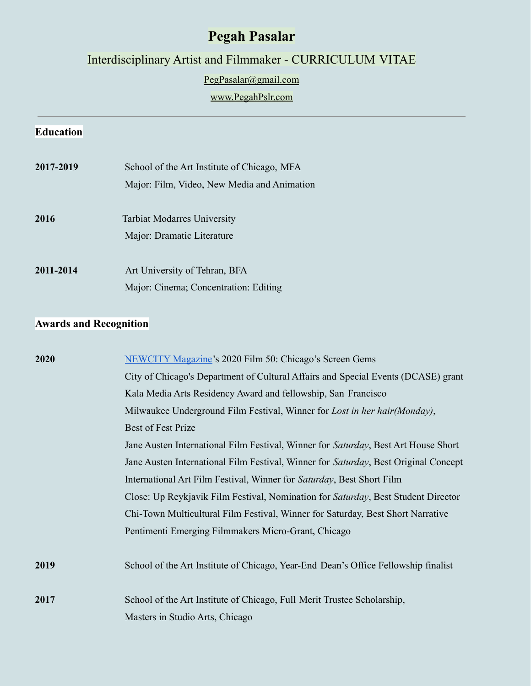# **Pegah Pasalar**

Interdisciplinary Artist and Filmmaker - CURRICULUM VITAE

[PegPasalar@gmail.com](mailto:PegPasalar@gmail.com)

## [www.PegahPslr.com](http://www.pegahpslr.com)

### **Education**

| 2017-2019 | School of the Art Institute of Chicago, MFA<br>Major: Film, Video, New Media and Animation |  |
|-----------|--------------------------------------------------------------------------------------------|--|
| 2016      | <b>Tarbiat Modarres University</b><br>Major: Dramatic Literature                           |  |
| 2011-2014 | Art University of Tehran, BFA<br>Major: Cinema; Concentration: Editing                     |  |

# **Awards and Recognition**

| 2020 | <b>NEWCITY Magazine's 2020 Film 50: Chicago's Screen Gems</b>                       |
|------|-------------------------------------------------------------------------------------|
|      | City of Chicago's Department of Cultural Affairs and Special Events (DCASE) grant   |
|      | Kala Media Arts Residency Award and fellowship, San Francisco                       |
|      | Milwaukee Underground Film Festival, Winner for Lost in her hair (Monday),          |
|      | Best of Fest Prize                                                                  |
|      | Jane Austen International Film Festival, Winner for Saturday, Best Art House Short  |
|      | Jane Austen International Film Festival, Winner for Saturday, Best Original Concept |
|      | International Art Film Festival, Winner for Saturday, Best Short Film               |
|      | Close: Up Reykjavik Film Festival, Nomination for Saturday, Best Student Director   |
|      | Chi-Town Multicultural Film Festival, Winner for Saturday, Best Short Narrative     |
|      | Pentimenti Emerging Filmmakers Micro-Grant, Chicago                                 |
| 2019 | School of the Art Institute of Chicago, Year-End Dean's Office Fellowship finalist  |
| 2017 | School of the Art Institute of Chicago, Full Merit Trustee Scholarship,             |
|      | Masters in Studio Arts, Chicago                                                     |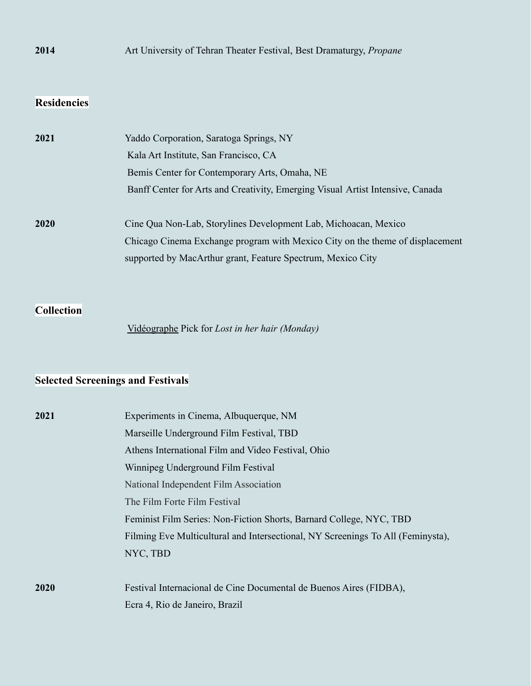## **2014** Art University of Tehran Theater Festival, Best Dramaturgy, *Propane*

## **Residencies**

| 2021 | Yaddo Corporation, Saratoga Springs, NY                                        |  |  |
|------|--------------------------------------------------------------------------------|--|--|
|      | Kala Art Institute, San Francisco, CA                                          |  |  |
|      | Bemis Center for Contemporary Arts, Omaha, NE                                  |  |  |
|      | Banff Center for Arts and Creativity, Emerging Visual Artist Intensive, Canada |  |  |
| 2020 | Cine Qua Non-Lab, Storylines Development Lab, Michoacan, Mexico                |  |  |
|      | Chicago Cinema Exchange program with Mexico City on the theme of displacement  |  |  |
|      | supported by MacArthur grant, Feature Spectrum, Mexico City                    |  |  |

**Collection**

[Vidéographe](https://www.videographe.org/) Pick for *Lost in her hair (Monday)*

## **Selected Screenings and Festivals**

| 2021        | Experiments in Cinema, Albuquerque, NM                                          |
|-------------|---------------------------------------------------------------------------------|
|             | Marseille Underground Film Festival, TBD                                        |
|             | Athens International Film and Video Festival, Ohio                              |
|             | Winnipeg Underground Film Festival                                              |
|             | National Independent Film Association                                           |
|             | The Film Forte Film Festival                                                    |
|             | Feminist Film Series: Non-Fiction Shorts, Barnard College, NYC, TBD             |
|             | Filming Eve Multicultural and Intersectional, NY Screenings To All (Feminysta), |
|             | NYC, TBD                                                                        |
|             |                                                                                 |
| <b>2020</b> | Festival Internacional de Cine Documental de Buenos Aires (FIDBA),              |
|             | Ecra 4, Rio de Janeiro, Brazil                                                  |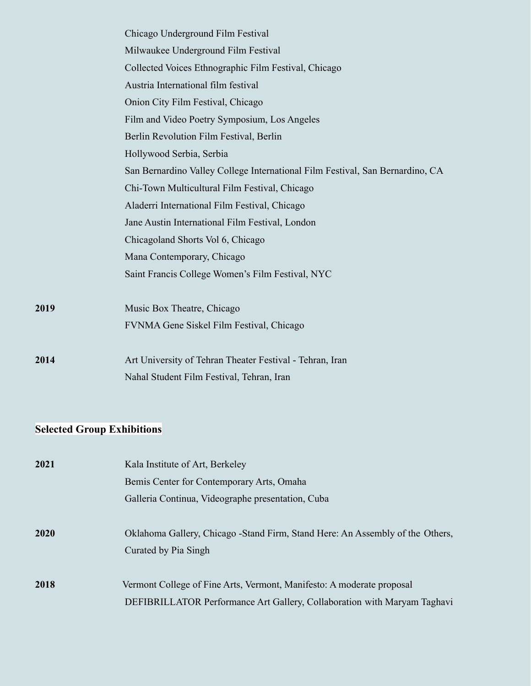|      | Chicago Underground Film Festival                                             |
|------|-------------------------------------------------------------------------------|
|      | Milwaukee Underground Film Festival                                           |
|      | Collected Voices Ethnographic Film Festival, Chicago                          |
|      | Austria International film festival                                           |
|      | Onion City Film Festival, Chicago                                             |
|      | Film and Video Poetry Symposium, Los Angeles                                  |
|      | Berlin Revolution Film Festival, Berlin                                       |
|      | Hollywood Serbia, Serbia                                                      |
|      | San Bernardino Valley College International Film Festival, San Bernardino, CA |
|      | Chi-Town Multicultural Film Festival, Chicago                                 |
|      | Aladerri International Film Festival, Chicago                                 |
|      | Jane Austin International Film Festival, London                               |
|      | Chicagoland Shorts Vol 6, Chicago                                             |
|      | Mana Contemporary, Chicago                                                    |
|      | Saint Francis College Women's Film Festival, NYC                              |
| 2019 | Music Box Theatre, Chicago                                                    |
|      | FVNMA Gene Siskel Film Festival, Chicago                                      |
| 2014 | Art University of Tehran Theater Festival - Tehran, Iran                      |
|      | Nahal Student Film Festival, Tehran, Iran                                     |

# **Selected Group Exhibitions**

| 2021 | Kala Institute of Art, Berkeley                                                                       |
|------|-------------------------------------------------------------------------------------------------------|
|      | Bemis Center for Contemporary Arts, Omaha                                                             |
|      | Galleria Continua, Videographe presentation, Cuba                                                     |
| 2020 | Oklahoma Gallery, Chicago -Stand Firm, Stand Here: An Assembly of the Others,<br>Curated by Pia Singh |
|      |                                                                                                       |
| 2018 | Vermont College of Fine Arts, Vermont, Manifesto: A moderate proposal                                 |
|      | DEFIBRILLATOR Performance Art Gallery, Collaboration with Maryam Taghavi                              |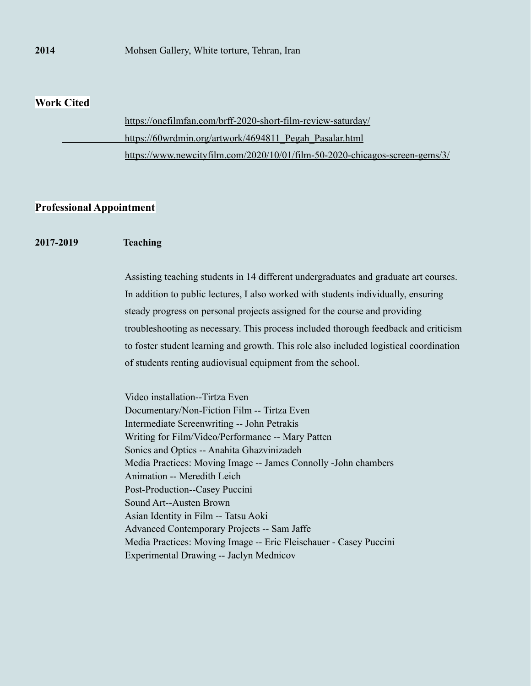#### **2014** Mohsen Gallery, White torture, Tehran, Iran

#### **Work Cited**

| https://onefilmfan.com/brff-2020-short-film-review-saturday/                |
|-----------------------------------------------------------------------------|
| https://60wrdmin.org/artwork/4694811 Pegah Pasalar.html                     |
| https://www.newcityfilm.com/2020/10/01/film-50-2020-chicagos-screen-gems/3/ |

### **Professional Appointment**

#### **2017-2019 Teaching**

Assisting teaching students in 14 different undergraduates and graduate art courses. In addition to public lectures, I also worked with students individually, ensuring steady progress on personal projects assigned for the course and providing troubleshooting as necessary. This process included thorough feedback and criticism to foster student learning and growth. This role also included logistical coordination of students renting audiovisual equipment from the school.

Video installation--Tirtza Even Documentary/Non-Fiction Film -- Tirtza Even Intermediate Screenwriting -- John Petrakis Writing for Film/Video/Performance -- Mary Patten Sonics and Optics -- Anahita Ghazvinizadeh Media Practices: Moving Image -- James Connolly -John chambers Animation -- Meredith Leich Post-Production--Casey Puccini Sound Art--Austen Brown Asian Identity in Film -- Tatsu Aoki Advanced Contemporary Projects -- Sam Jaffe Media Practices: Moving Image -- Eric Fleischauer - Casey Puccini Experimental Drawing -- Jaclyn Mednicov